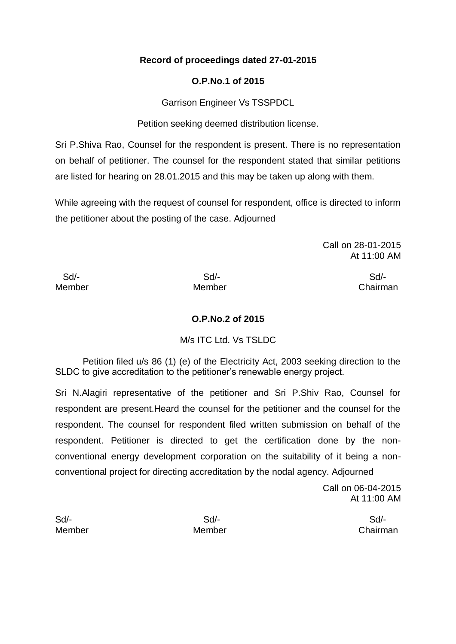# **Record of proceedings dated 27-01-2015**

# **O.P.No.1 of 2015**

Garrison Engineer Vs TSSPDCL

Petition seeking deemed distribution license.

Sri P.Shiva Rao, Counsel for the respondent is present. There is no representation on behalf of petitioner. The counsel for the respondent stated that similar petitions are listed for hearing on 28.01.2015 and this may be taken up along with them.

While agreeing with the request of counsel for respondent, office is directed to inform the petitioner about the posting of the case. Adjourned

> Call on 28-01-2015 At 11:00 AM

Sd/- Sd/- Sd/-

Member Member Chairman

## **O.P.No.2 of 2015**

# M/s ITC Ltd. Vs TSLDC

Petition filed u/s 86 (1) (e) of the Electricity Act, 2003 seeking direction to the SLDC to give accreditation to the petitioner's renewable energy project.

Sri N.Alagiri representative of the petitioner and Sri P.Shiv Rao, Counsel for respondent are present.Heard the counsel for the petitioner and the counsel for the respondent. The counsel for respondent filed written submission on behalf of the respondent. Petitioner is directed to get the certification done by the nonconventional energy development corporation on the suitability of it being a nonconventional project for directing accreditation by the nodal agency. Adjourned

> Call on 06-04-2015 At 11:00 AM

Sd/- Sd/- Sd/-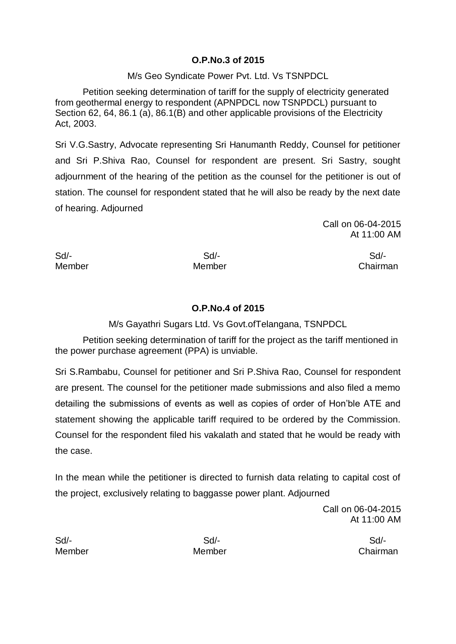#### **O.P.No.3 of 2015**

### M/s Geo Syndicate Power Pvt. Ltd. Vs TSNPDCL

Petition seeking determination of tariff for the supply of electricity generated from geothermal energy to respondent (APNPDCL now TSNPDCL) pursuant to Section 62, 64, 86.1 (a), 86.1(B) and other applicable provisions of the Electricity Act, 2003.

Sri V.G.Sastry, Advocate representing Sri Hanumanth Reddy, Counsel for petitioner and Sri P.Shiva Rao, Counsel for respondent are present. Sri Sastry, sought adjournment of the hearing of the petition as the counsel for the petitioner is out of station. The counsel for respondent stated that he will also be ready by the next date of hearing. Adjourned

> Call on 06-04-2015 At 11:00 AM

Sd/- Sd/- Sd/-

Member Member Chairman

## **O.P.No.4 of 2015**

M/s Gayathri Sugars Ltd. Vs Govt.ofTelangana, TSNPDCL

Petition seeking determination of tariff for the project as the tariff mentioned in the power purchase agreement (PPA) is unviable.

Sri S.Rambabu, Counsel for petitioner and Sri P.Shiva Rao, Counsel for respondent are present. The counsel for the petitioner made submissions and also filed a memo detailing the submissions of events as well as copies of order of Hon'ble ATE and statement showing the applicable tariff required to be ordered by the Commission. Counsel for the respondent filed his vakalath and stated that he would be ready with the case.

In the mean while the petitioner is directed to furnish data relating to capital cost of the project, exclusively relating to baggasse power plant. Adjourned

> Call on 06-04-2015 At 11:00 AM

Sd/- Sd/- Sd/-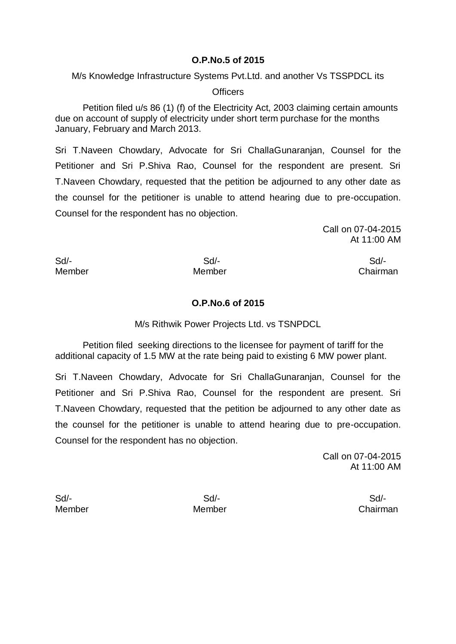#### **O.P.No.5 of 2015**

M/s Knowledge Infrastructure Systems Pvt.Ltd. and another Vs TSSPDCL its

**Officers** 

Petition filed u/s 86 (1) (f) of the Electricity Act, 2003 claiming certain amounts due on account of supply of electricity under short term purchase for the months January, February and March 2013.

Sri T.Naveen Chowdary, Advocate for Sri ChallaGunaranjan, Counsel for the Petitioner and Sri P.Shiva Rao, Counsel for the respondent are present. Sri T.Naveen Chowdary, requested that the petition be adjourned to any other date as the counsel for the petitioner is unable to attend hearing due to pre-occupation. Counsel for the respondent has no objection.

> Call on 07-04-2015 At 11:00 AM

Sd/- Sd/- Sd/-

Member Member Chairman

**O.P.No.6 of 2015**

M/s Rithwik Power Projects Ltd. vs TSNPDCL

Petition filed seeking directions to the licensee for payment of tariff for the additional capacity of 1.5 MW at the rate being paid to existing 6 MW power plant.

Sri T.Naveen Chowdary, Advocate for Sri ChallaGunaranjan, Counsel for the Petitioner and Sri P.Shiva Rao, Counsel for the respondent are present. Sri T.Naveen Chowdary, requested that the petition be adjourned to any other date as the counsel for the petitioner is unable to attend hearing due to pre-occupation. Counsel for the respondent has no objection.

> Call on 07-04-2015 At 11:00 AM

Sd/- Sd/- Sd/-